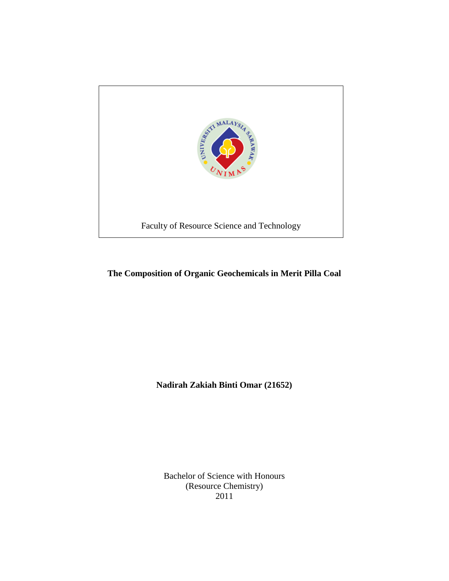

## **The Composition of Organic Geochemicals in Merit Pilla Coal**

**Nadirah Zakiah Binti Omar (21652)**

Bachelor of Science with Honours (Resource Chemistry) 2011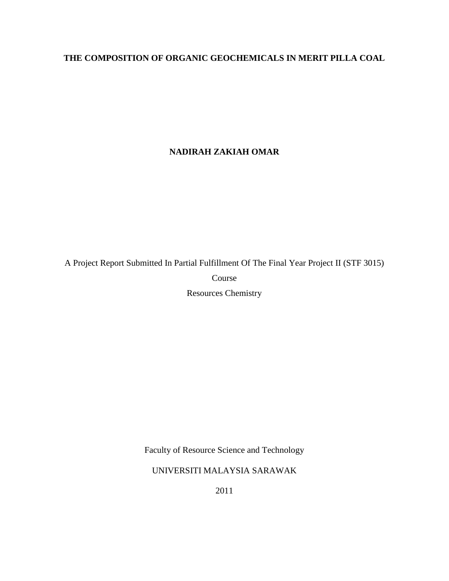# **THE COMPOSITION OF ORGANIC GEOCHEMICALS IN MERIT PILLA COAL**

## **NADIRAH ZAKIAH OMAR**

A Project Report Submitted In Partial Fulfillment Of The Final Year Project II (STF 3015) Course Resources Chemistry

Faculty of Resource Science and Technology

UNIVERSITI MALAYSIA SARAWAK

2011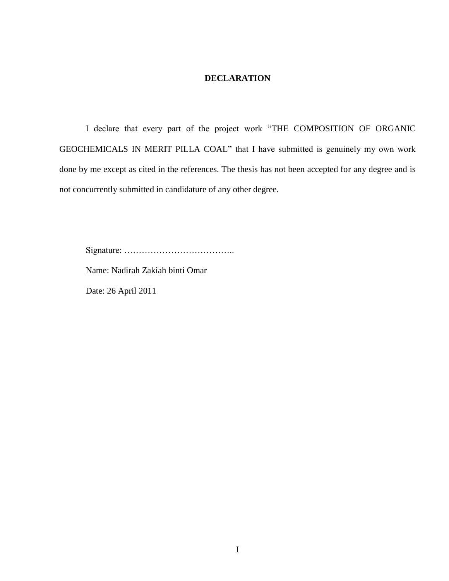## **DECLARATION**

I declare that every part of the project work "THE COMPOSITION OF ORGANIC GEOCHEMICALS IN MERIT PILLA COAL" that I have submitted is genuinely my own work done by me except as cited in the references. The thesis has not been accepted for any degree and is not concurrently submitted in candidature of any other degree.

Signature: ………………………………..

Name: Nadirah Zakiah binti Omar

Date: 26 April 2011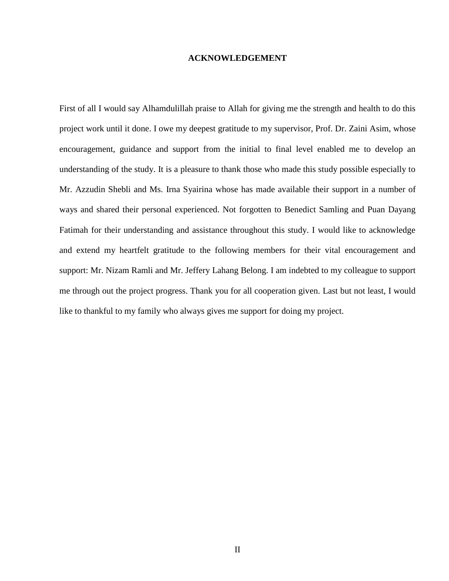#### **ACKNOWLEDGEMENT**

First of all I would say Alhamdulillah praise to Allah for giving me the strength and health to do this project work until it done. I owe my deepest gratitude to my supervisor, Prof. Dr. Zaini Asim, whose encouragement, guidance and support from the initial to final level enabled me to develop an understanding of the study. It is a pleasure to thank those who made this study possible especially to Mr. Azzudin Shebli and Ms. Irna Syairina whose has made available their support in a number of ways and shared their personal experienced. Not forgotten to Benedict Samling and Puan Dayang Fatimah for their understanding and assistance throughout this study. I would like to acknowledge and extend my heartfelt gratitude to the following members for their vital encouragement and support: Mr. Nizam Ramli and Mr. Jeffery Lahang Belong. I am indebted to my colleague to support me through out the project progress. Thank you for all cooperation given. Last but not least, I would like to thankful to my family who always gives me support for doing my project.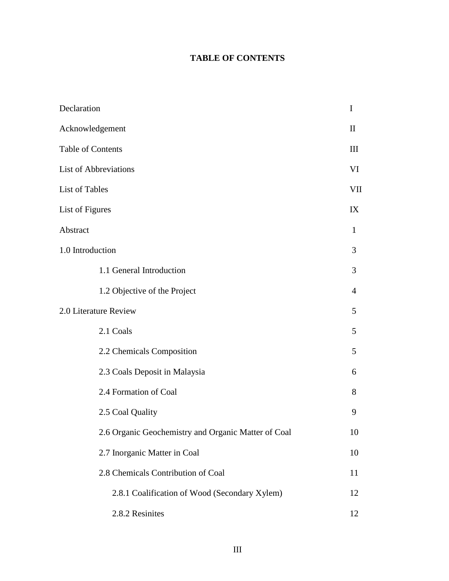# **TABLE OF CONTENTS**

| Declaration                                         | I              |
|-----------------------------------------------------|----------------|
| Acknowledgement                                     | $\mathbf{I}$   |
| Table of Contents                                   | III            |
| <b>List of Abbreviations</b>                        | VI             |
| List of Tables                                      | VII            |
| List of Figures                                     | IX             |
| Abstract                                            | 1              |
| 1.0 Introduction                                    | 3              |
| 1.1 General Introduction                            | 3              |
| 1.2 Objective of the Project                        | $\overline{4}$ |
| 2.0 Literature Review                               | 5              |
| 2.1 Coals                                           | 5              |
| 2.2 Chemicals Composition                           | 5              |
| 2.3 Coals Deposit in Malaysia                       | 6              |
| 2.4 Formation of Coal                               | 8              |
| 2.5 Coal Quality                                    | 9              |
| 2.6 Organic Geochemistry and Organic Matter of Coal | 10             |
| 2.7 Inorganic Matter in Coal                        | 10             |
| 2.8 Chemicals Contribution of Coal                  | 11             |
| 2.8.1 Coalification of Wood (Secondary Xylem)       | 12             |
| 2.8.2 Resinites                                     | 12             |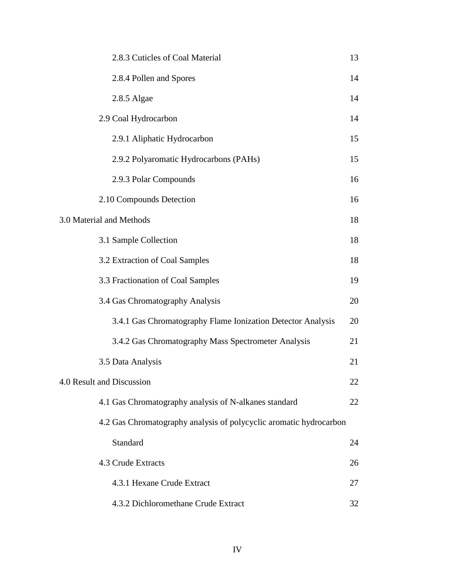| 2.8.3 Cuticles of Coal Material                                    | 13 |
|--------------------------------------------------------------------|----|
| 2.8.4 Pollen and Spores                                            | 14 |
| 2.8.5 Algae                                                        | 14 |
| 2.9 Coal Hydrocarbon                                               | 14 |
| 2.9.1 Aliphatic Hydrocarbon                                        | 15 |
| 2.9.2 Polyaromatic Hydrocarbons (PAHs)                             | 15 |
| 2.9.3 Polar Compounds                                              | 16 |
| 2.10 Compounds Detection                                           | 16 |
| 3.0 Material and Methods                                           | 18 |
| 3.1 Sample Collection                                              | 18 |
| 3.2 Extraction of Coal Samples                                     | 18 |
| 3.3 Fractionation of Coal Samples                                  | 19 |
| 3.4 Gas Chromatography Analysis                                    | 20 |
| 3.4.1 Gas Chromatography Flame Ionization Detector Analysis        | 20 |
| 3.4.2 Gas Chromatography Mass Spectrometer Analysis                | 21 |
| 3.5 Data Analysis                                                  | 21 |
| 4.0 Result and Discussion                                          | 22 |
| 4.1 Gas Chromatography analysis of N-alkanes standard              | 22 |
| 4.2 Gas Chromatography analysis of polycyclic aromatic hydrocarbon |    |
| Standard                                                           | 24 |
| 4.3 Crude Extracts                                                 | 26 |
| 4.3.1 Hexane Crude Extract                                         | 27 |
| 4.3.2 Dichloromethane Crude Extract                                | 32 |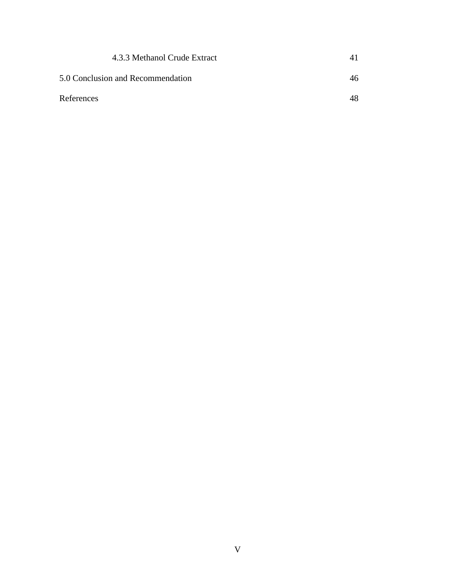| 4.3.3 Methanol Crude Extract      | $\vert$ |
|-----------------------------------|---------|
| 5.0 Conclusion and Recommendation | 46      |
| References                        | 48      |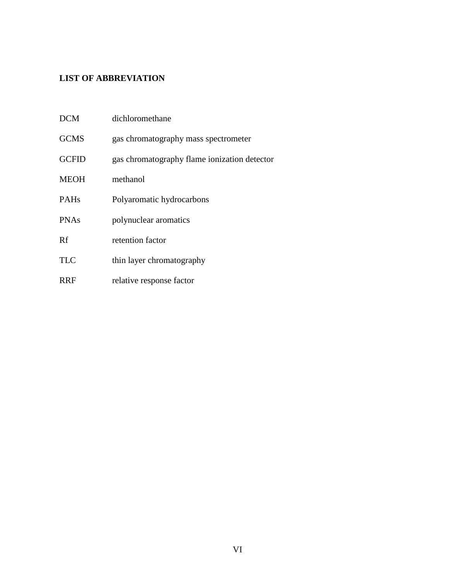# **LIST OF ABBREVIATION**

| <b>DCM</b>   | dichloromethane                              |
|--------------|----------------------------------------------|
| <b>GCMS</b>  | gas chromatography mass spectrometer         |
| <b>GCFID</b> | gas chromatography flame ionization detector |
| <b>MEOH</b>  | methanol                                     |
| <b>PAHs</b>  | Polyaromatic hydrocarbons                    |
| <b>PNAs</b>  | polynuclear aromatics                        |
| Rf           | retention factor                             |
| <b>TLC</b>   | thin layer chromatography                    |
| <b>RRF</b>   | relative response factor                     |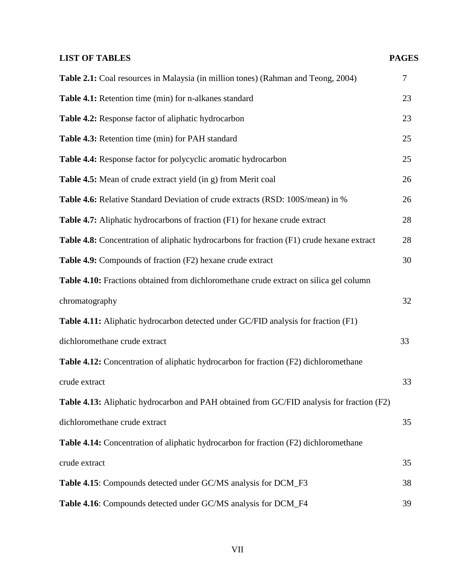# **LIST OF TABLES PAGES**

| Table 2.1: Coal resources in Malaysia (in million tones) (Rahman and Teong, 2004)           | $\overline{7}$ |
|---------------------------------------------------------------------------------------------|----------------|
| Table 4.1: Retention time (min) for n-alkanes standard                                      | 23             |
| Table 4.2: Response factor of aliphatic hydrocarbon                                         | 23             |
| Table 4.3: Retention time (min) for PAH standard                                            | 25             |
| Table 4.4: Response factor for polycyclic aromatic hydrocarbon                              | 25             |
| Table 4.5: Mean of crude extract yield (in g) from Merit coal                               | 26             |
| Table 4.6: Relative Standard Deviation of crude extracts (RSD: 100S/mean) in %              | 26             |
| Table 4.7: Aliphatic hydrocarbons of fraction (F1) for hexane crude extract                 | 28             |
| Table 4.8: Concentration of aliphatic hydrocarbons for fraction (F1) crude hexane extract   | 28             |
| Table 4.9: Compounds of fraction (F2) hexane crude extract                                  | 30             |
| Table 4.10: Fractions obtained from dichloromethane crude extract on silica gel column      |                |
| chromatography                                                                              | 32             |
| Table 4.11: Aliphatic hydrocarbon detected under GC/FID analysis for fraction (F1)          |                |
| dichloromethane crude extract                                                               | 33             |
| Table 4.12: Concentration of aliphatic hydrocarbon for fraction (F2) dichloromethane        |                |
| crude extract                                                                               | 33             |
| Table 4.13: Aliphatic hydrocarbon and PAH obtained from GC/FID analysis for fraction (F2)   |                |
| dichloromethane crude extract                                                               | 35             |
| <b>Table 4.14:</b> Concentration of aliphatic hydrocarbon for fraction (F2) dichloromethane |                |
| crude extract                                                                               | 35             |
| Table 4.15: Compounds detected under GC/MS analysis for DCM_F3                              | 38             |
| Table 4.16: Compounds detected under GC/MS analysis for DCM_F4                              | 39             |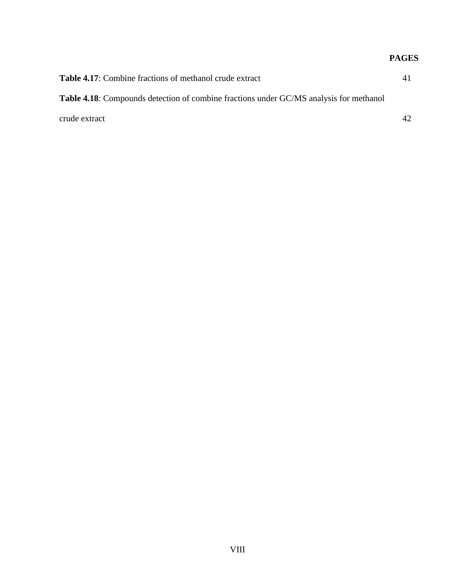# **PAGES**

| <b>Table 4.17:</b> Combine fractions of methanol crude extract                                | 41 |
|-----------------------------------------------------------------------------------------------|----|
| <b>Table 4.18:</b> Compounds detection of combine fractions under GC/MS analysis for methanol |    |
| crude extract                                                                                 | 42 |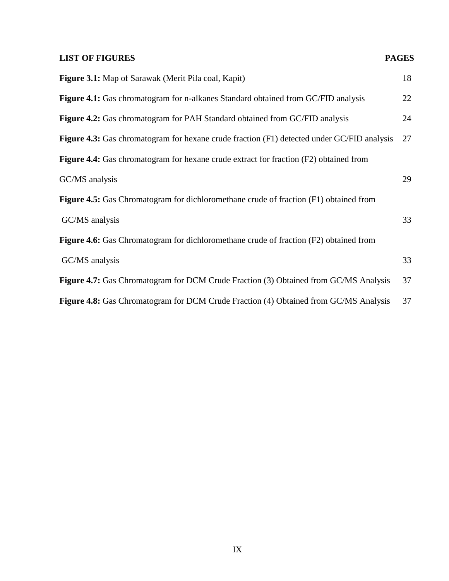# **LIST OF FIGURES** PAGES

| <b>Figure 3.1:</b> Map of Sarawak (Merit Pila coal, Kapit)                                        | 18 |
|---------------------------------------------------------------------------------------------------|----|
| Figure 4.1: Gas chromatogram for n-alkanes Standard obtained from GC/FID analysis                 | 22 |
| Figure 4.2: Gas chromatogram for PAH Standard obtained from GC/FID analysis                       | 24 |
| <b>Figure 4.3:</b> Gas chromatogram for hexane crude fraction (F1) detected under GC/FID analysis | 27 |
| <b>Figure 4.4:</b> Gas chromatogram for hexane crude extract for fraction (F2) obtained from      |    |
| GC/MS analysis                                                                                    | 29 |
| <b>Figure 4.5:</b> Gas Chromatogram for dichloromethane crude of fraction (F1) obtained from      |    |
| GC/MS analysis                                                                                    | 33 |
| <b>Figure 4.6:</b> Gas Chromatogram for dichloromethane crude of fraction (F2) obtained from      |    |
| GC/MS analysis                                                                                    | 33 |
| <b>Figure 4.7:</b> Gas Chromatogram for DCM Crude Fraction (3) Obtained from GC/MS Analysis       | 37 |
| Figure 4.8: Gas Chromatogram for DCM Crude Fraction (4) Obtained from GC/MS Analysis              | 37 |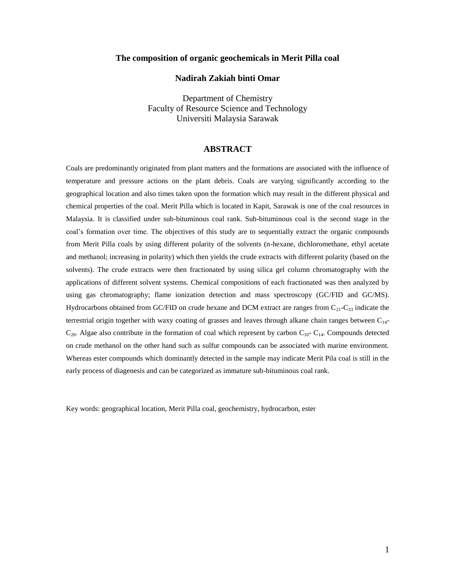#### **The composition of organic geochemicals in Merit Pilla coal**

#### **Nadirah Zakiah binti Omar**

Department of Chemistry Faculty of Resource Science and Technology Universiti Malaysia Sarawak

#### **ABSTRACT**

Coals are predominantly originated from plant matters and the formations are associated with the influence of temperature and pressure actions on the plant debris. Coals are varying significantly according to the geographical location and also times taken upon the formation which may result in the different physical and chemical properties of the coal. Merit Pilla which is located in Kapit, Sarawak is one of the coal resources in Malaysia. It is classified under sub-bituminous coal rank. Sub-bituminous coal is the second stage in the coal's formation over time. The objectives of this study are to sequentially extract the organic compounds from Merit Pilla coals by using different polarity of the solvents (n-hexane, dichloromethane, ethyl acetate and methanol; increasing in polarity) which then yields the crude extracts with different polarity (based on the solvents). The crude extracts were then fractionated by using silica gel column chromatography with the applications of different solvent systems. Chemical compositions of each fractionated was then analyzed by using gas chromatography; flame ionization detection and mass spectroscopy (GC/FID and GC/MS). Hydrocarbons obtained from GC/FID on crude hexane and DCM extract are ranges from  $C_{21}$ -C<sub>33</sub> indicate the terrestrial origin together with waxy coating of grasses and leaves through alkane chain ranges between C14-  $C_{20}$ . Algae also contribute in the formation of coal which represent by carbon  $C_{10}$ -  $C_{14}$ . Compounds detected on crude methanol on the other hand such as sulfur compounds can be associated with marine environment. Whereas ester compounds which dominantly detected in the sample may indicate Merit Pila coal is still in the early process of diagenesis and can be categorized as immature sub-bituminous coal rank.

Key words: geographical location, Merit Pilla coal, geochemistry, hydrocarbon, ester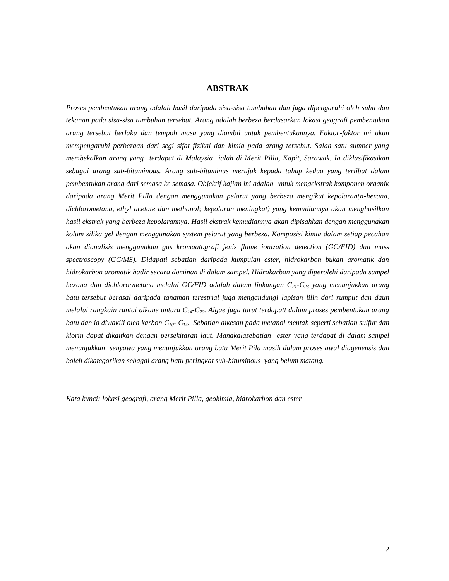#### **ABSTRAK**

*Proses pembentukan arang adalah hasil daripada sisa-sisa tumbuhan dan juga dipengaruhi oleh suhu dan tekanan pada sisa-sisa tumbuhan tersebut. Arang adalah berbeza berdasarkan lokasi geografi pembentukan arang tersebut berlaku dan tempoh masa yang diambil untuk pembentukannya. Faktor-faktor ini akan mempengaruhi perbezaan dari segi sifat fizikal dan kimia pada arang tersebut. Salah satu sumber yang membekalkan arang yang terdapat di Malaysia ialah di Merit Pilla, Kapit, Sarawak. Ia diklasifikasikan sebagai arang sub-bituminous. Arang sub-bituminus merujuk kepada tahap kedua yang terlibat dalam pembentukan arang dari semasa ke semasa. Objektif kajian ini adalah untuk mengekstrak komponen organik daripada arang Merit Pilla dengan menggunakan pelarut yang berbeza mengikut kepolaran(n-hexana, dichlorometana, ethyl acetate dan methanol; kepolaran meningkat) yang kemudiannya akan menghasilkan hasil ekstrak yang berbeza kepolarannya. Hasil ekstrak kemudiannya akan dipisahkan dengan menggunakan kolum silika gel dengan menggunakan system pelarut yang berbeza. Komposisi kimia dalam setiap pecahan akan dianalisis menggunakan gas kromaatografi jenis flame ionization detection (GC/FID) dan mass spectroscopy (GC/MS). Didapati sebatian daripada kumpulan ester, hidrokarbon bukan aromatik dan hidrokarbon aromatik hadir secara dominan di dalam sampel. Hidrokarbon yang diperolehi daripada sampel hexana dan dichlorormetana melalui GC/FID adalah dalam linkungan C21-C<sup>23</sup> yang menunjukkan arang batu tersebut berasal daripada tanaman terestrial juga mengandungi lapisan lilin dari rumput dan daun melalui rangkain rantai alkane antara C14-C20. Algae juga turut terdapatt dalam proses pembentukan arang batu dan ia diwakili oleh karbon C10- C14. Sebatian dikesan pada metanol mentah seperti sebatian sulfur dan klorin dapat dikaitkan dengan persekitaran laut. Manakalasebatian ester yang terdapat di dalam sampel menunjukkan senyawa yang menunjukkan arang batu Merit Pila masih dalam proses awal diagenensis dan boleh dikategorikan sebagai arang batu peringkat sub-bituminous yang belum matang.*

*Kata kunci: lokasi geografi, arang Merit Pilla, geokimia, hidrokarbon dan ester*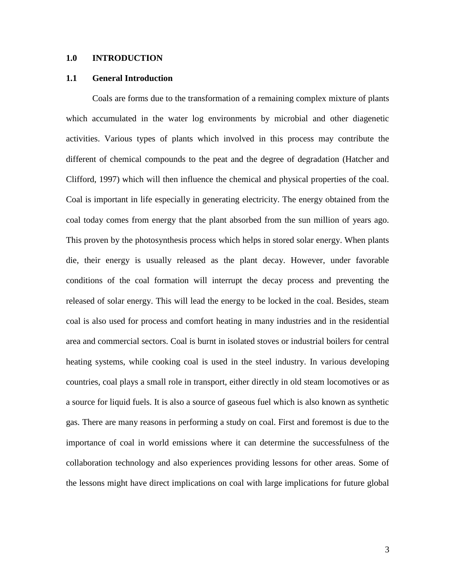#### **1.0 INTRODUCTION**

#### **1.1 General Introduction**

Coals are forms due to the transformation of a remaining complex mixture of plants which accumulated in the water log environments by microbial and other diagenetic activities. Various types of plants which involved in this process may contribute the different of chemical compounds to the peat and the degree of degradation (Hatcher and Clifford, 1997) which will then influence the chemical and physical properties of the coal. Coal is important in life especially in generating electricity. The energy obtained from the coal today comes from energy that the plant absorbed from the sun million of years ago. This proven by the photosynthesis process which helps in stored solar energy. When plants die, their energy is usually released as the plant decay. However, under favorable conditions of the coal formation will interrupt the decay process and preventing the released of solar energy. This will lead the energy to be locked in the coal. Besides, steam coal is also used for process and comfort heating in many industries and in the residential area and commercial sectors. Coal is burnt in isolated stoves or industrial boilers for central heating systems, while cooking coal is used in the steel industry. In various developing countries, coal plays a small role in transport, either directly in old steam locomotives or as a source for liquid fuels. It is also a source of gaseous fuel which is also known as synthetic gas. There are many reasons in performing a study on coal. First and foremost is due to the importance of coal in world emissions where it can determine the successfulness of the collaboration technology and also experiences providing lessons for other areas. Some of the lessons might have direct implications on coal with large implications for future global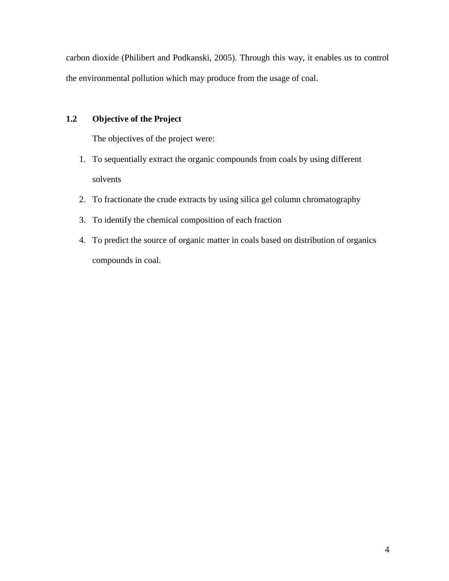carbon dioxide (Philibert and Podkanski, 2005). Through this way, it enables us to control the environmental pollution which may produce from the usage of coal.

# **1.2 Objective of the Project**

The objectives of the project were:

- 1. To sequentially extract the organic compounds from coals by using different solvents
- 2. To fractionate the crude extracts by using silica gel column chromatography
- 3. To identify the chemical composition of each fraction
- 4. To predict the source of organic matter in coals based on distribution of organics compounds in coal.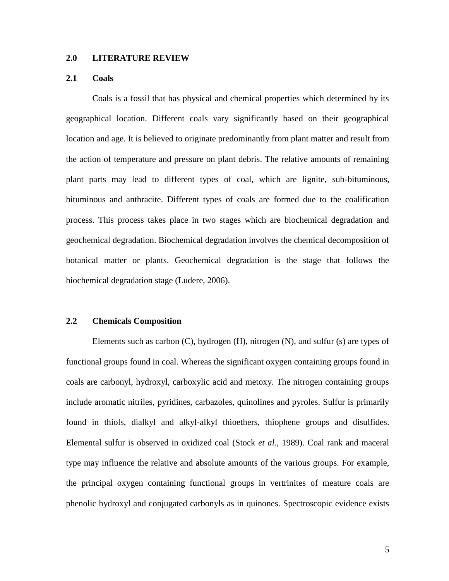## **2.0 LITERATURE REVIEW**

## **2.1 Coals**

Coals is a fossil that has physical and chemical properties which determined by its geographical location. Different coals vary significantly based on their geographical location and age. It is believed to originate predominantly from plant matter and result from the action of temperature and pressure on plant debris. The relative amounts of remaining plant parts may lead to different types of coal, which are lignite, sub-bituminous, bituminous and anthracite. Different types of coals are formed due to the coalification process. This process takes place in two stages which are biochemical degradation and geochemical degradation. Biochemical degradation involves the chemical decomposition of botanical matter or plants. Geochemical degradation is the stage that follows the biochemical degradation stage (Ludere, 2006).

### **2.2 Chemicals Composition**

Elements such as carbon (C), hydrogen (H), nitrogen (N), and sulfur (s) are types of functional groups found in coal. Whereas the significant oxygen containing groups found in coals are carbonyl, hydroxyl, carboxylic acid and metoxy. The nitrogen containing groups include aromatic nitriles, pyridines, carbazoles, quinolines and pyroles. Sulfur is primarily found in thiols, dialkyl and alkyl-alkyl thioethers, thiophene groups and disulfides. Elemental sulfur is observed in oxidized coal (Stock *et al*., 1989). Coal rank and maceral type may influence the relative and absolute amounts of the various groups. For example, the principal oxygen containing functional groups in vertrinites of meature coals are phenolic hydroxyl and conjugated carbonyls as in quinones. Spectroscopic evidence exists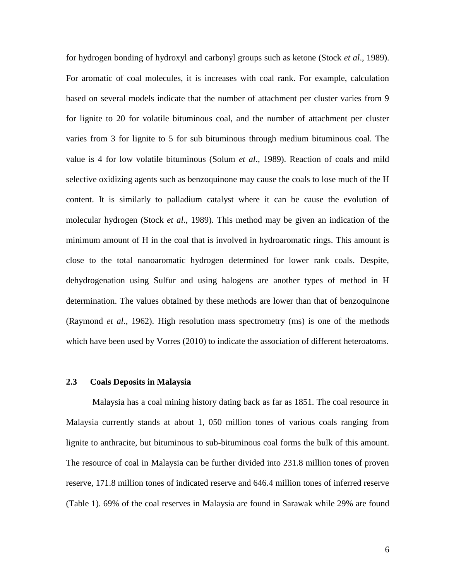for hydrogen bonding of hydroxyl and carbonyl groups such as ketone (Stock *et al*., 1989). For aromatic of coal molecules, it is increases with coal rank. For example, calculation based on several models indicate that the number of attachment per cluster varies from 9 for lignite to 20 for volatile bituminous coal, and the number of attachment per cluster varies from 3 for lignite to 5 for sub bituminous through medium bituminous coal. The value is 4 for low volatile bituminous (Solum *et al*., 1989). Reaction of coals and mild selective oxidizing agents such as benzoquinone may cause the coals to lose much of the H content. It is similarly to palladium catalyst where it can be cause the evolution of molecular hydrogen (Stock *et al*., 1989). This method may be given an indication of the minimum amount of H in the coal that is involved in hydroaromatic rings. This amount is close to the total nanoaromatic hydrogen determined for lower rank coals. Despite, dehydrogenation using Sulfur and using halogens are another types of method in H determination. The values obtained by these methods are lower than that of benzoquinone (Raymond *et al*., 1962). High resolution mass spectrometry (ms) is one of the methods which have been used by Vorres (2010) to indicate the association of different heteroatoms.

#### **2.3 Coals Deposits in Malaysia**

Malaysia has a coal mining history dating back as far as 1851. The coal resource in Malaysia currently stands at about 1, 050 million tones of various coals ranging from lignite to anthracite, but bituminous to sub-bituminous coal forms the bulk of this amount. The resource of coal in Malaysia can be further divided into 231.8 million tones of proven reserve, 171.8 million tones of indicated reserve and 646.4 million tones of inferred reserve (Table 1). 69% of the coal reserves in Malaysia are found in Sarawak while 29% are found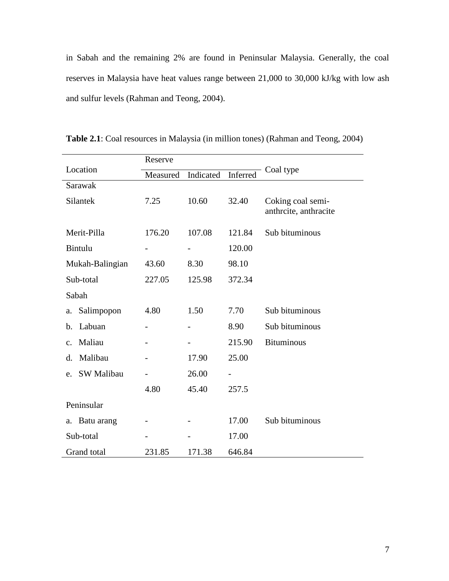in Sabah and the remaining 2% are found in Peninsular Malaysia. Generally, the coal reserves in Malaysia have heat values range between 21,000 to 30,000 kJ/kg with low ash and sulfur levels (Rahman and Teong, 2004).

|                          | Reserve  |           |          |                                            |  |
|--------------------------|----------|-----------|----------|--------------------------------------------|--|
| Location                 | Measured | Indicated | Inferred | Coal type                                  |  |
| Sarawak                  |          |           |          |                                            |  |
| Silantek                 | 7.25     | 10.60     | 32.40    | Coking coal semi-<br>anthrcite, anthracite |  |
| Merit-Pilla              | 176.20   | 107.08    | 121.84   | Sub bituminous                             |  |
| Bintulu                  | -        |           | 120.00   |                                            |  |
| Mukah-Balingian          | 43.60    | 8.30      | 98.10    |                                            |  |
| Sub-total                | 227.05   | 125.98    | 372.34   |                                            |  |
| Sabah                    |          |           |          |                                            |  |
| Salimpopon<br>a.         | 4.80     | 1.50      | 7.70     | Sub bituminous                             |  |
| Labuan<br>b.             |          |           | 8.90     | Sub bituminous                             |  |
| Maliau<br>$\mathbf{c}$ . |          |           | 215.90   | <b>Bituminous</b>                          |  |
| Malibau<br>d.            |          | 17.90     | 25.00    |                                            |  |
| SW Malibau<br>e.         |          | 26.00     |          |                                            |  |
|                          | 4.80     | 45.40     | 257.5    |                                            |  |
| Peninsular               |          |           |          |                                            |  |
| Batu arang<br>a.         |          |           | 17.00    | Sub bituminous                             |  |
| Sub-total                |          |           | 17.00    |                                            |  |
| Grand total              | 231.85   | 171.38    | 646.84   |                                            |  |

**Table 2.1**: Coal resources in Malaysia (in million tones) (Rahman and Teong, 2004)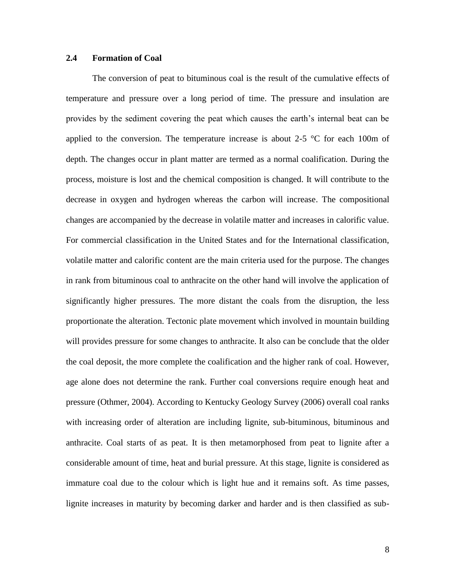## **2.4 Formation of Coal**

The conversion of peat to bituminous coal is the result of the cumulative effects of temperature and pressure over a long period of time. The pressure and insulation are provides by the sediment covering the peat which causes the earth's internal beat can be applied to the conversion. The temperature increase is about 2-5  $\degree$ C for each 100m of depth. The changes occur in plant matter are termed as a normal coalification. During the process, moisture is lost and the chemical composition is changed. It will contribute to the decrease in oxygen and hydrogen whereas the carbon will increase. The compositional changes are accompanied by the decrease in volatile matter and increases in calorific value. For commercial classification in the United States and for the International classification, volatile matter and calorific content are the main criteria used for the purpose. The changes in rank from bituminous coal to anthracite on the other hand will involve the application of significantly higher pressures. The more distant the coals from the disruption, the less proportionate the alteration. Tectonic plate movement which involved in mountain building will provides pressure for some changes to anthracite. It also can be conclude that the older the coal deposit, the more complete the coalification and the higher rank of coal. However, age alone does not determine the rank. Further coal conversions require enough heat and pressure (Othmer, 2004). According to Kentucky Geology Survey (2006) overall coal ranks with increasing order of alteration are including lignite, sub-bituminous, bituminous and anthracite. Coal starts of as peat. It is then metamorphosed from peat to lignite after a considerable amount of time, heat and burial pressure. At this stage, lignite is considered as immature coal due to the colour which is light hue and it remains soft. As time passes, lignite increases in maturity by becoming darker and harder and is then classified as sub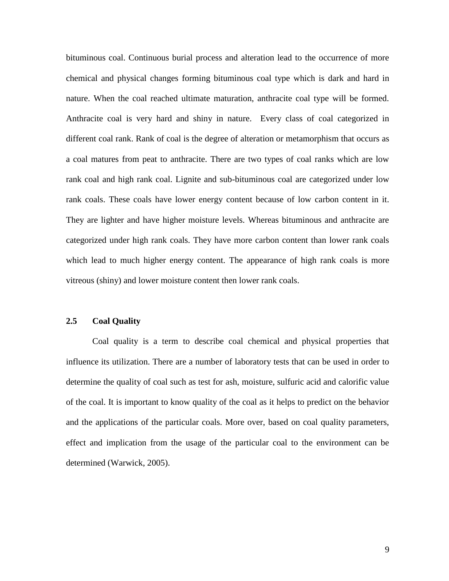bituminous coal. Continuous burial process and alteration lead to the occurrence of more chemical and physical changes forming bituminous coal type which is dark and hard in nature. When the coal reached ultimate maturation, anthracite coal type will be formed. Anthracite coal is very hard and shiny in nature. Every class of coal categorized in different coal rank. Rank of coal is the degree of alteration or metamorphism that occurs as a coal matures from peat to anthracite. There are two types of coal ranks which are low rank coal and high rank coal. Lignite and sub-bituminous coal are categorized under low rank coals. These coals have lower energy content because of low carbon content in it. They are lighter and have higher moisture levels. Whereas bituminous and anthracite are categorized under high rank coals. They have more carbon content than lower rank coals which lead to much higher energy content. The appearance of high rank coals is more vitreous (shiny) and lower moisture content then lower rank coals.

## **2.5 Coal Quality**

Coal quality is a term to describe coal chemical and physical properties that influence its utilization. There are a number of laboratory tests that can be used in order to determine the quality of coal such as test for ash, moisture, sulfuric acid and calorific value of the coal. It is important to know quality of the coal as it helps to predict on the behavior and the applications of the particular coals. More over, based on coal quality parameters, effect and implication from the usage of the particular coal to the environment can be determined (Warwick, 2005).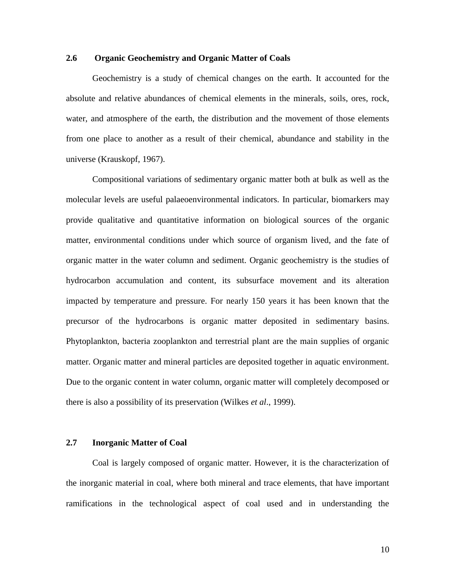## **2.6 Organic Geochemistry and Organic Matter of Coals**

Geochemistry is a study of chemical changes on the earth. It accounted for the absolute and relative abundances of chemical elements in the minerals, soils, ores, rock, water, and atmosphere of the earth, the distribution and the movement of those elements from one place to another as a result of their chemical, abundance and stability in the universe (Krauskopf, 1967).

Compositional variations of sedimentary organic matter both at bulk as well as the molecular levels are useful palaeoenvironmental indicators. In particular, biomarkers may provide qualitative and quantitative information on biological sources of the organic matter, environmental conditions under which source of organism lived, and the fate of organic matter in the water column and sediment. Organic geochemistry is the studies of hydrocarbon accumulation and content, its subsurface movement and its alteration impacted by temperature and pressure. For nearly 150 years it has been known that the precursor of the hydrocarbons is organic matter deposited in sedimentary basins. Phytoplankton, bacteria zooplankton and terrestrial plant are the main supplies of organic matter. Organic matter and mineral particles are deposited together in aquatic environment. Due to the organic content in water column, organic matter will completely decomposed or there is also a possibility of its preservation (Wilkes *et al*., 1999).

## **2.7 Inorganic Matter of Coal**

Coal is largely composed of organic matter. However, it is the characterization of the inorganic material in coal, where both mineral and trace elements, that have important ramifications in the technological aspect of coal used and in understanding the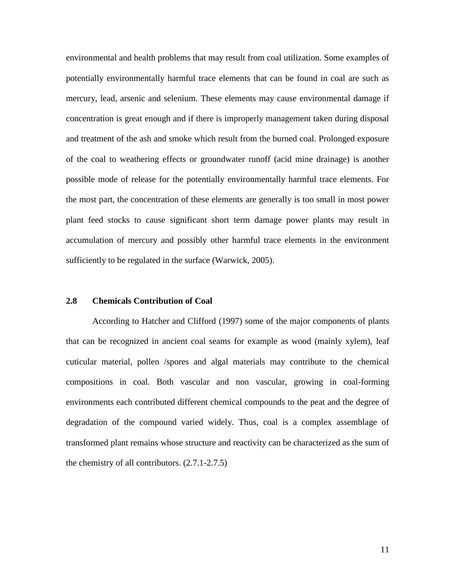environmental and health problems that may result from coal utilization. Some examples of potentially environmentally harmful trace elements that can be found in coal are such as mercury, lead, arsenic and selenium. These elements may cause environmental damage if concentration is great enough and if there is improperly management taken during disposal and treatment of the ash and smoke which result from the burned coal. Prolonged exposure of the coal to weathering effects or groundwater runoff (acid mine drainage) is another possible mode of release for the potentially environmentally harmful trace elements. For the most part, the concentration of these elements are generally is too small in most power plant feed stocks to cause significant short term damage power plants may result in accumulation of mercury and possibly other harmful trace elements in the environment sufficiently to be regulated in the surface (Warwick, 2005).

#### **2.8 Chemicals Contribution of Coal**

According to Hatcher and Clifford (1997) some of the major components of plants that can be recognized in ancient coal seams for example as wood (mainly xylem), leaf cuticular material, pollen /spores and algal materials may contribute to the chemical compositions in coal. Both vascular and non vascular, growing in coal-forming environments each contributed different chemical compounds to the peat and the degree of degradation of the compound varied widely. Thus, coal is a complex assemblage of transformed plant remains whose structure and reactivity can be characterized as the sum of the chemistry of all contributors. (2.7.1-2.7.5)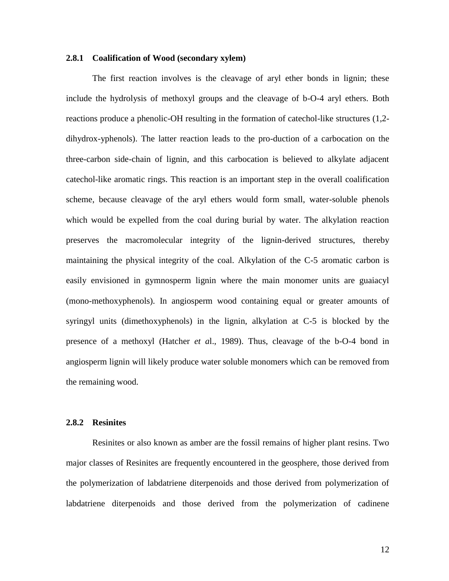#### **2.8.1 Coalification of Wood (secondary xylem)**

The first reaction involves is the cleavage of aryl ether bonds in lignin; these include the hydrolysis of methoxyl groups and the cleavage of b-O-4 aryl ethers. Both reactions produce a phenolic-OH resulting in the formation of catechol-like structures (1,2 dihydrox-yphenols). The latter reaction leads to the pro-duction of a carbocation on the three-carbon side-chain of lignin, and this carbocation is believed to alkylate adjacent catechol-like aromatic rings. This reaction is an important step in the overall coalification scheme, because cleavage of the aryl ethers would form small, water-soluble phenols which would be expelled from the coal during burial by water. The alkylation reaction preserves the macromolecular integrity of the lignin-derived structures, thereby maintaining the physical integrity of the coal. Alkylation of the C-5 aromatic carbon is easily envisioned in gymnosperm lignin where the main monomer units are guaiacyl (mono-methoxyphenols). In angiosperm wood containing equal or greater amounts of syringyl units (dimethoxyphenols) in the lignin, alkylation at C-5 is blocked by the presence of a methoxyl (Hatcher *et a*l., 1989). Thus, cleavage of the b-O-4 bond in angiosperm lignin will likely produce water soluble monomers which can be removed from the remaining wood.

### **2.8.2 Resinites**

Resinites or also known as amber are the fossil remains of higher plant resins. Two major classes of Resinites are frequently encountered in the geosphere, those derived from the polymerization of labdatriene diterpenoids and those derived from polymerization of labdatriene diterpenoids and those derived from the polymerization of cadinene